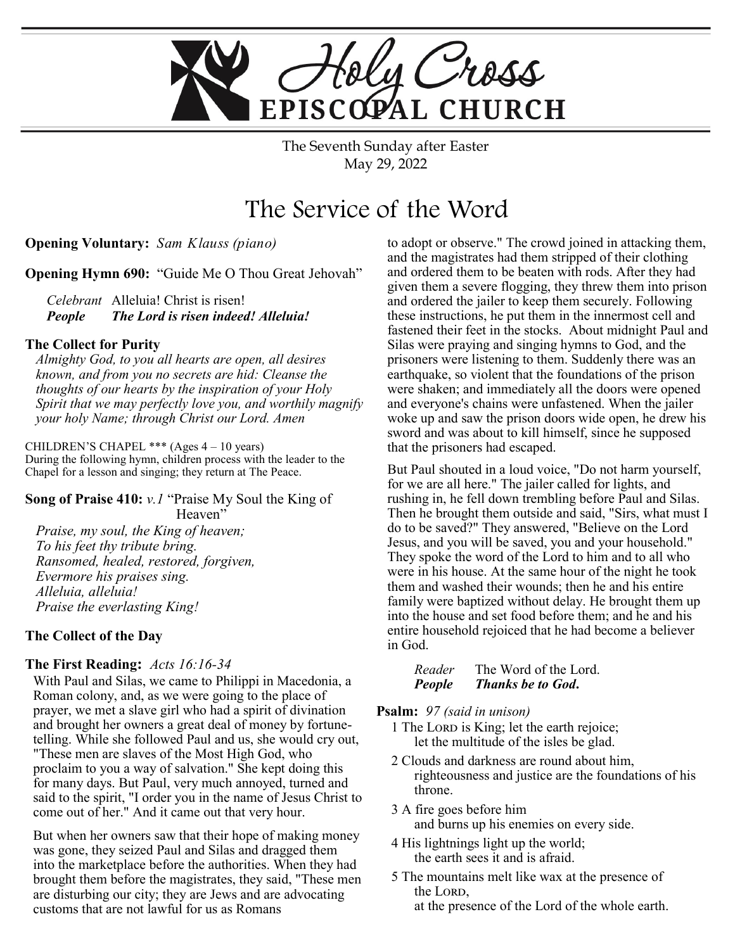

The Seventh Sunday after Easter May 29, 2022

# The Service of the Word

**Opening Voluntary:** *Sam Klauss (piano)*

**Opening Hymn 690:** "Guide Me O Thou Great Jehovah"

*Celebrant* Alleluia! Christ is risen! *People The Lord is risen indeed! Alleluia!* 

#### **The Collect for Purity**

*Almighty God, to you all hearts are open, all desires known, and from you no secrets are hid: Cleanse the thoughts of our hearts by the inspiration of your Holy Spirit that we may perfectly love you, and worthily magnify your holy Name; through Christ our Lord. Amen* 

CHILDREN'S CHAPEL \*\*\* (Ages 4 – 10 years) During the following hymn, children process with the leader to the Chapel for a lesson and singing; they return at The Peace.

**Song of Praise 410:** *v.1* "Praise My Soul the King of Heaven" *Praise, my soul, the King of heaven; To his feet thy tribute bring. Ransomed, healed, restored, forgiven, Evermore his praises sing. Alleluia, alleluia! Praise the everlasting King!*

#### **The Collect of the Day**

#### **The First Reading:** *Acts 16:16-34*

With Paul and Silas, we came to Philippi in Macedonia, a Roman colony, and, as we were going to the place of prayer, we met a slave girl who had a spirit of divination and brought her owners a great deal of money by fortunetelling. While she followed Paul and us, she would cry out, "These men are slaves of the Most High God, who proclaim to you a way of salvation." She kept doing this for many days. But Paul, very much annoyed, turned and said to the spirit, "I order you in the name of Jesus Christ to come out of her." And it came out that very hour.

But when her owners saw that their hope of making money was gone, they seized Paul and Silas and dragged them into the marketplace before the authorities. When they had brought them before the magistrates, they said, "These men are disturbing our city; they are Jews and are advocating customs that are not lawful for us as Romans

to adopt or observe." The crowd joined in attacking them, and the magistrates had them stripped of their clothing and ordered them to be beaten with rods. After they had given them a severe flogging, they threw them into prison and ordered the jailer to keep them securely. Following these instructions, he put them in the innermost cell and fastened their feet in the stocks. About midnight Paul and Silas were praying and singing hymns to God, and the prisoners were listening to them. Suddenly there was an earthquake, so violent that the foundations of the prison were shaken; and immediately all the doors were opened and everyone's chains were unfastened. When the jailer woke up and saw the prison doors wide open, he drew his sword and was about to kill himself, since he supposed that the prisoners had escaped.

But Paul shouted in a loud voice, "Do not harm yourself, for we are all here." The jailer called for lights, and rushing in, he fell down trembling before Paul and Silas. Then he brought them outside and said, "Sirs, what must I do to be saved?" They answered, "Believe on the Lord Jesus, and you will be saved, you and your household." They spoke the word of the Lord to him and to all who were in his house. At the same hour of the night he took them and washed their wounds; then he and his entire family were baptized without delay. He brought them up into the house and set food before them; and he and his entire household rejoiced that he had become a believer in God.

*Reader* The Word of the Lord. *People Thanks be to God***.** 

**Psalm:** *97 (said in unison)*

1 The Lorp is King; let the earth rejoice; let the multitude of the isles be glad.

- 2 Clouds and darkness are round about him, righteousness and justice are the foundations of his throne.
- 3 A fire goes before him and burns up his enemies on every side.
- 4 His lightnings light up the world; the earth sees it and is afraid.
- 5 The mountains melt like wax at the presence of the LORD.
	- at the presence of the Lord of the whole earth.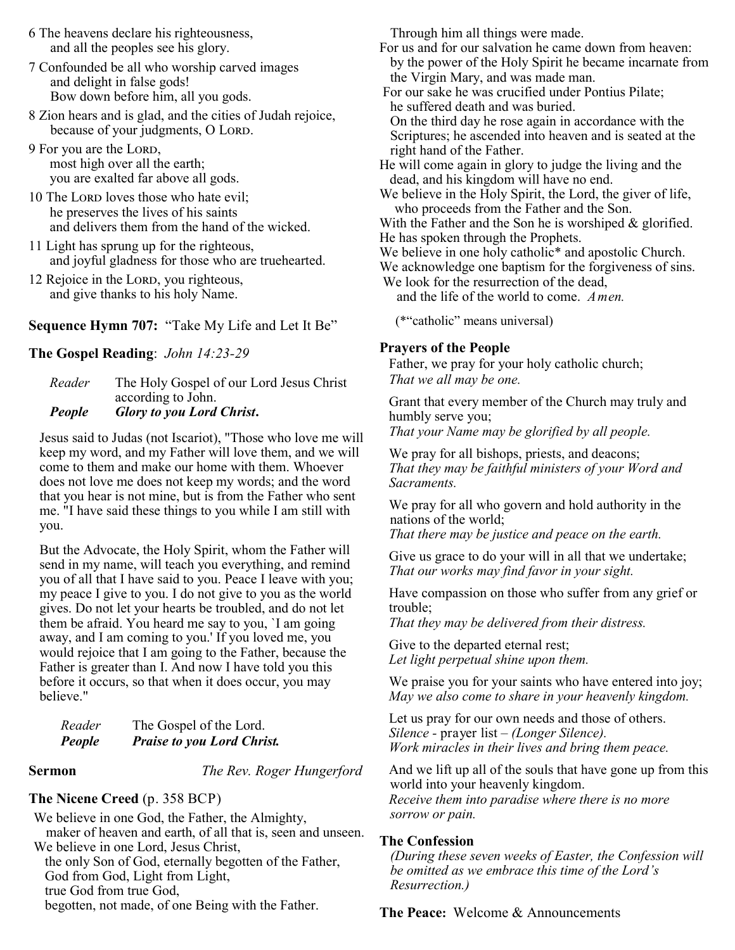- 6 The heavens declare his righteousness, Through him all things were made. and all the peoples see his glory.
- 7 Confounded be all who worship carved images and delight in false gods! Bow down before him, all you gods.
- 8 Zion hears and is glad, and the cities of Judah rejoice, because of your judgments, O LORD.
- 9 For you are the LORD, most high over all the earth; you are exalted far above all gods.
- 10 The Lord loves those who hate evil; he preserves the lives of his saints and delivers them from the hand of the wicked.
- 11 Light has sprung up for the righteous, and joyful gladness for those who are truehearted.
- 12 Rejoice in the LORD, you righteous, and give thanks to his holy Name.

**Sequence Hymn 707:** "Take My Life and Let It Be"

#### **The Gospel Reading**: *John 14:23-29*

*Reader* The Holy Gospel of our Lord Jesus Christ according to John. *People Glory to you Lord Christ***.** 

Jesus said to Judas (not Iscariot), "Those who love me will keep my word, and my Father will love them, and we will come to them and make our home with them. Whoever does not love me does not keep my words; and the word that you hear is not mine, but is from the Father who sent me. "I have said these things to you while I am still with you.

But the Advocate, the Holy Spirit, whom the Father will send in my name, will teach you everything, and remind you of all that I have said to you. Peace I leave with you; my peace I give to you. I do not give to you as the world gives. Do not let your hearts be troubled, and do not let them be afraid. You heard me say to you, `I am going away, and I am coming to you.' If you loved me, you would rejoice that I am going to the Father, because the Father is greater than I. And now I have told you this before it occurs, so that when it does occur, you may believe."

| Reader | The Gospel of the Lord.           |
|--------|-----------------------------------|
| People | <b>Praise to you Lord Christ.</b> |

**Sermon** *The Rev. Roger Hungerford*

#### **The Nicene Creed** (p. 358 BCP)

We believe in one God, the Father, the Almighty, maker of heaven and earth, of all that is, seen and unseen. We believe in one Lord, Jesus Christ, the only Son of God, eternally begotten of the Father, God from God, Light from Light, true God from true God, begotten, not made, of one Being with the Father.

For us and for our salvation he came down from heaven: by the power of the Holy Spirit he became incarnate from the Virgin Mary, and was made man.

For our sake he was crucified under Pontius Pilate; he suffered death and was buried.

On the third day he rose again in accordance with the Scriptures; he ascended into heaven and is seated at the right hand of the Father.

He will come again in glory to judge the living and the dead, and his kingdom will have no end.

We believe in the Holy Spirit, the Lord, the giver of life, who proceeds from the Father and the Son.

With the Father and the Son he is worshiped & glorified. He has spoken through the Prophets.

We believe in one holy catholic<sup>\*</sup> and apostolic Church.

We acknowledge one baptism for the forgiveness of sins. We look for the resurrection of the dead,

and the life of the world to come. *Amen.*

(\*"catholic" means universal)

#### **Prayers of the People**

Father, we pray for your holy catholic church; *That we all may be one.*

Grant that every member of the Church may truly and humbly serve you;

*That your Name may be glorified by all people.*

We pray for all bishops, priests, and deacons; *That they may be faithful ministers of your Word and Sacraments.*

We pray for all who govern and hold authority in the nations of the world;

*That there may be justice and peace on the earth.*

Give us grace to do your will in all that we undertake; *That our works may find favor in your sight.*

Have compassion on those who suffer from any grief or trouble;

*That they may be delivered from their distress.*

Give to the departed eternal rest; *Let light perpetual shine upon them.*

We praise you for your saints who have entered into joy; *May we also come to share in your heavenly kingdom.*

Let us pray for our own needs and those of others. *Silence -* prayer list *– (Longer Silence). Work miracles in their lives and bring them peace.*

And we lift up all of the souls that have gone up from this world into your heavenly kingdom. *Receive them into paradise where there is no more sorrow or pain.*

### **The Confession**

*(During these seven weeks of Easter, the Confession will be omitted as we embrace this time of the Lord's Resurrection.)*

**The Peace:** Welcome & Announcements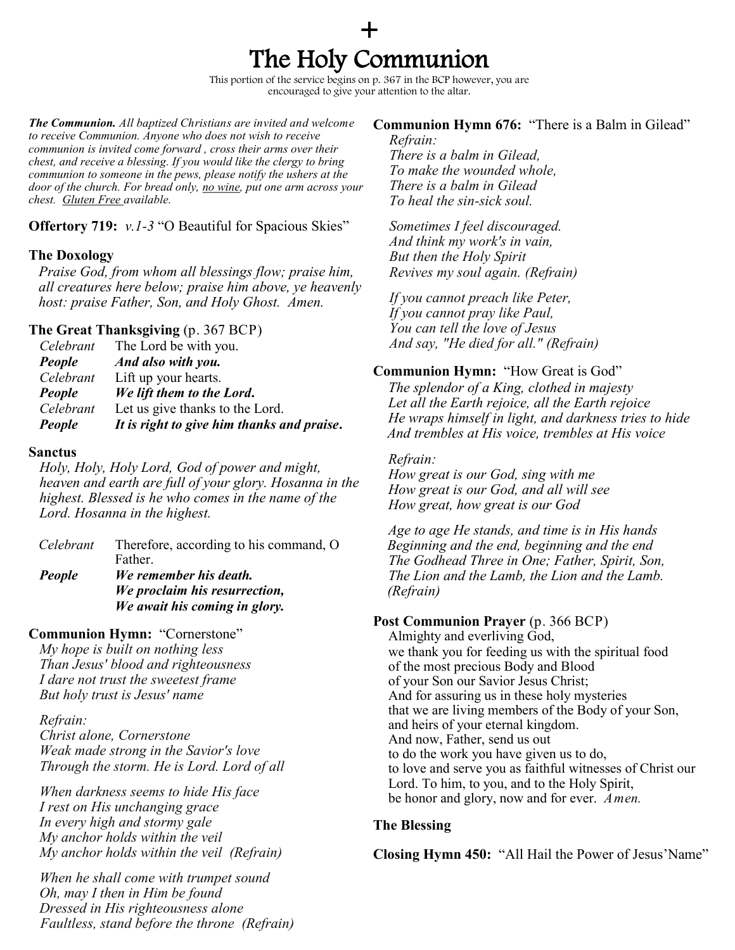# + The Holy Communion

This portion of the service begins on p. 367 in the BCP however, you are encouraged to give your attention to the altar.

*The Communion. All baptized Christians are invited and welcome to receive Communion. Anyone who does not wish to receive communion is invited come forward , cross their arms over their chest, and receive a blessing. If you would like the clergy to bring communion to someone in the pews, please notify the ushers at the door of the church. For bread only, no wine, put one arm across your chest. Gluten Free available.*

**Offertory 719:** *v.1-3* "O Beautiful for Spacious Skies"

#### **The Doxology**

*Praise God, from whom all blessings flow; praise him, all creatures here below; praise him above, ye heavenly host: praise Father, Son, and Holy Ghost. Amen.*

#### **The Great Thanksgiving** (p. 367 BCP)

| Celebrant | The Lord be with you.                      |
|-----------|--------------------------------------------|
| People    | And also with you.                         |
| Celebrant | Lift up your hearts.                       |
| People    | We lift them to the Lord.                  |
| Celebrant | Let us give thanks to the Lord.            |
| People    | It is right to give him thanks and praise. |

#### **Sanctus**

*Holy, Holy, Holy Lord, God of power and might, heaven and earth are full of your glory. Hosanna in the highest. Blessed is he who comes in the name of the Lord. Hosanna in the highest.* 

| Celebrant | Therefore, according to his command, O |
|-----------|----------------------------------------|
|           | Father.                                |
| People    | We remember his death.                 |
|           | We proclaim his resurrection,          |
|           | We await his coming in glory.          |

#### **Communion Hymn:** "Cornerstone"

*My hope is [built o](https://www.definitions.net/definition/built)n [nothing](https://www.definitions.net/definition/nothing) less Than Jesus' [blood a](https://www.definitions.net/definition/blood)nd righteousness I dare not [trust](https://www.definitions.net/definition/trust) the [sweetest f](https://www.definitions.net/definition/sweetest)rame But [holy](https://www.definitions.net/definition/holly) trust is Jesus' name*

#### *Refrain:*

*Christ alone, Cornerstone Weak made [strong](https://www.definitions.net/definition/strong) in the Savior's love Through the storm. He is Lord. Lord of all*

*When [darkness s](https://www.definitions.net/definition/darkness)eems to hide His face I rest on His [unchanging](https://www.definitions.net/definition/unchanging) grace In [every h](https://www.definitions.net/definition/every)igh and [stormy g](https://www.definitions.net/definition/stormy)ale My [anchor](https://www.definitions.net/definition/anchor) holds [within](https://www.definitions.net/definition/within) the veil My [anchor](https://www.definitions.net/definition/anchor) holds [within](https://www.definitions.net/definition/within) the veil (Refrain)*

*When he [shall c](https://www.definitions.net/definition/shall)ome with [trumpet](https://www.definitions.net/definition/trumpet) sound Oh, may I then in Him be found Dressed in His [righteousness](https://www.definitions.net/definition/righteousness) alone Faultless, [stand b](https://www.definitions.net/definition/stand)efore the throne (Refrain)*

#### **Communion Hymn 676:** "There is a Balm in Gilead"

*Refrain: There is a balm in Gilead, To make the wounded whole, There is a balm in Gilead To heal the sin-sick soul.*

*Sometimes I feel discouraged. And think my work's in vain, But then the Holy Spirit Revives my soul again. (Refrain)*

*If you cannot preach like Peter, If you cannot pray like Paul, You can tell the love of Jesus And say, "He died for all." (Refrain)*

#### **Communion Hymn:** "How Great is God"

*The splendor of a King, clothed in majesty Let all the Earth rejoice, all the Earth rejoice He wraps himself in light, and darkness tries to hide And trembles at His voice, trembles at His voice*

#### *Refrain:*

*How great is our God, sing with me How great is our God, and all will see How great, how great is our God*

*Age to age He stands, and time is in His hands Beginning and the end, beginning and the end The Godhead Three in One; Father, Spirit, Son, The Lion and the Lamb, the Lion and the Lamb. (Refrain)*

#### **Post Communion Prayer** (p. 366 BCP)

Almighty and everliving God, we thank you for feeding us with the spiritual food of the most precious Body and Blood of your Son our Savior Jesus Christ; And for assuring us in these holy mysteries that we are living members of the Body of your Son, and heirs of your eternal kingdom. And now, Father, send us out to do the work you have given us to do, to love and serve you as faithful witnesses of Christ our Lord. To him, to you, and to the Holy Spirit, be honor and glory, now and for ever. *Amen.*

#### **The Blessing**

**Closing Hymn 450:** "All Hail the Power of Jesus'Name"